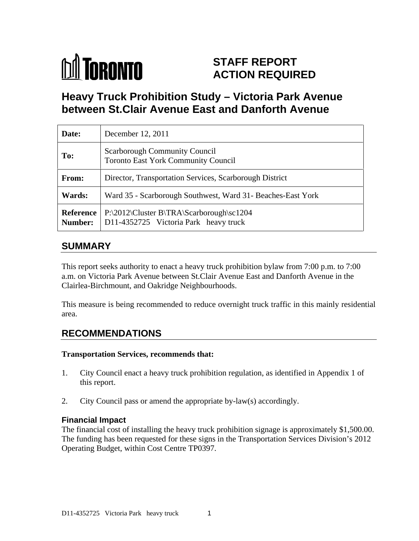

# **STAFF REPORT ACTION REQUIRED**

# **Heavy Truck Prohibition Study – Victoria Park Avenue between St.Clair Avenue East and Danforth Avenue**

| Date:         | December 12, 2011                                                                                     |
|---------------|-------------------------------------------------------------------------------------------------------|
| To:           | Scarborough Community Council<br><b>Toronto East York Community Council</b>                           |
| From:         | Director, Transportation Services, Scarborough District                                               |
| <b>Wards:</b> | Ward 35 - Scarborough Southwest, Ward 31- Beaches-East York                                           |
|               | Reference   P:\2012\Cluster B\TRA\Scarborough\sc1204<br>Number: D11-4352725 Victoria Park heavy truck |

### **SUMMARY**

This report seeks authority to enact a heavy truck prohibition bylaw from 7:00 p.m. to 7:00 a.m. on Victoria Park Avenue between St.Clair Avenue East and Danforth Avenue in the Clairlea-Birchmount, and Oakridge Neighbourhoods.

This measure is being recommended to reduce overnight truck traffic in this mainly residential area.

# **RECOMMENDATIONS**

#### **Transportation Services, recommends that:**

- 1. City Council enact a heavy truck prohibition regulation, as identified in Appendix 1 of this report.
- 2. City Council pass or amend the appropriate by-law(s) accordingly.

### **Financial Impact**

The financial cost of installing the heavy truck prohibition signage is approximately \$1,500.00. The funding has been requested for these signs in the Transportation Services Division's 2012 Operating Budget, within Cost Centre TP0397.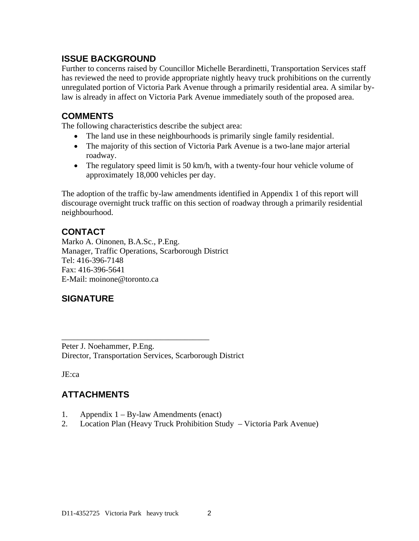### **ISSUE BACKGROUND**

Further to concerns raised by Councillor Michelle Berardinetti, Transportation Services staff has reviewed the need to provide appropriate nightly heavy truck prohibitions on the currently unregulated portion of Victoria Park Avenue through a primarily residential area. A similar bylaw is already in affect on Victoria Park Avenue immediately south of the proposed area.

### **COMMENTS**

The following characteristics describe the subject area:

- The land use in these neighbourhoods is primarily single family residential.
- The majority of this section of Victoria Park Avenue is a two-lane major arterial roadway.
- The regulatory speed limit is 50 km/h, with a twenty-four hour vehicle volume of approximately 18,000 vehicles per day.

The adoption of the traffic by-law amendments identified in Appendix 1 of this report will discourage overnight truck traffic on this section of roadway through a primarily residential neighbourhood.

 $\overline{\phantom{a}}$  , we are assumed to the contract of the contract of the contract of the contract of the contract of the contract of the contract of the contract of the contract of the contract of the contract of the contract

# **CONTACT**

Marko A. Oinonen, B.A.Sc., P.Eng. Manager, Traffic Operations, Scarborough District Tel: 416-396-7148 Fax: 416-396-5641 E-Mail: moinone@toronto.ca

# **SIGNATURE**

Peter J. Noehammer, P.Eng. Director, Transportation Services, Scarborough District

JE:ca

# **ATTACHMENTS**

- 1. Appendix 1 By-law Amendments (enact)
- 2. Location Plan (Heavy Truck Prohibition Study Victoria Park Avenue)